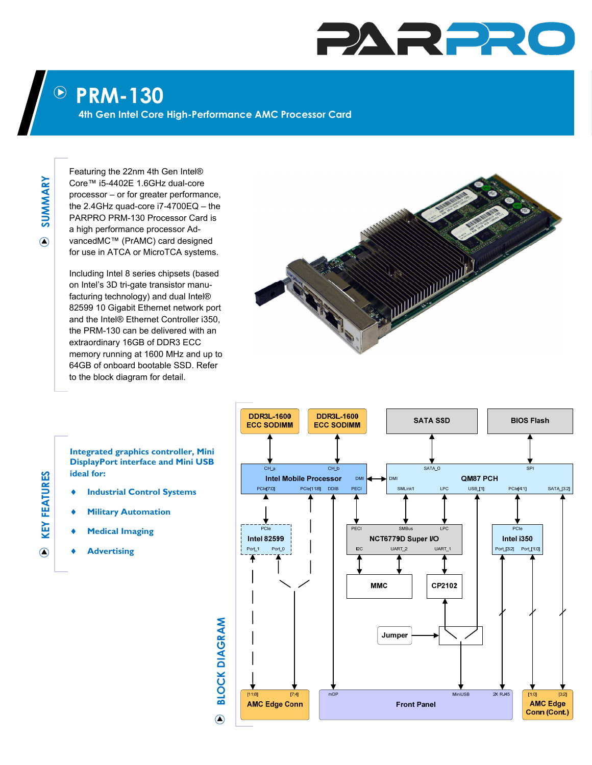## PARPR

## **PRM-130**   $\bigodot$

**4th Gen Intel Core High-Performance AMC Processor Card** 

**SUMMARY**  SUMMARY  $\odot$ 

Featuring the 22nm 4th Gen Intel® Core™ i5-4402E 1.6GHz dual-core processor – or for greater performance, the 2.4GHz quad-core i7-4700EQ – the PARPRO PRM-130 Processor Card is a high performance processor AdvancedMC™ (PrAMC) card designed for use in ATCA or MicroTCA systems.

Including Intel 8 series chipsets (based on Intel's 3D tri-gate transistor manufacturing technology) and dual Intel® 82599 10 Gigabit Ethernet network port and the Intel® Ethernet Controller i350, the PRM-130 can be delivered with an extraordinary 16GB of DDR3 ECC memory running at 1600 MHz and up to 64GB of onboard bootable SSD. Refer to the block diagram for detail.





- **Industrial Control Systems**
- **Military Automation**
- **Medical Imaging**
- **Advertising**



## **KEY FEATURES KEY FEATURES**

 $\bigcirc$